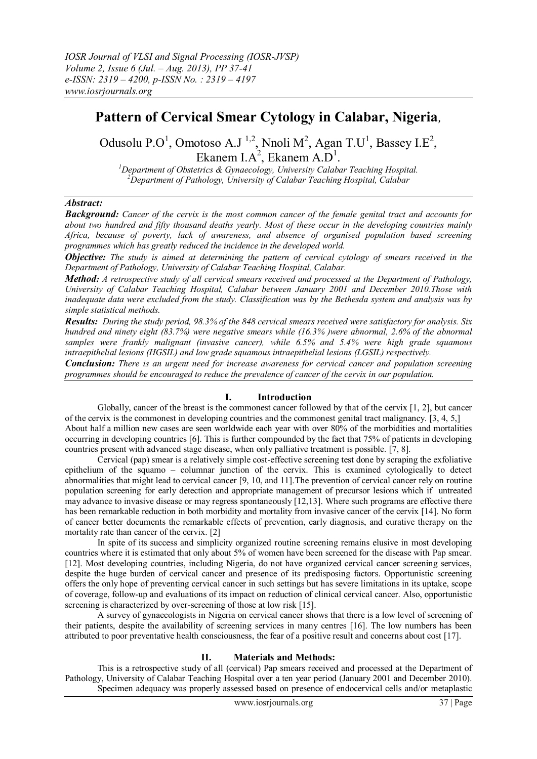## **Pattern of Cervical Smear Cytology in Calabar, Nigeria***,*

Odusolu P.O<sup>1</sup>, Omotoso A.J<sup>1,2</sup>, Nnoli M<sup>2</sup>, Agan T.U<sup>1</sup>, Bassey I.E<sup>2</sup>, Ekanem I.A<sup>2</sup>, Ekanem A.D<sup>1</sup>.

*<sup>1</sup>Department of Obstetrics & Gynaecology, University Calabar Teaching Hospital. <sup>2</sup>Department of Pathology, University of Calabar Teaching Hospital, Calabar*

## *Abstract:*

*Background: Cancer of the cervix is the most common cancer of the female genital tract and accounts for about two hundred and fifty thousand deaths yearly. Most of these occur in the developing countries mainly Africa, because of poverty, lack of awareness, and absence of organised population based screening programmes which has greatly reduced the incidence in the developed world.* 

*Objective: The study is aimed at determining the pattern of cervical cytology of smears received in the Department of Pathology, University of Calabar Teaching Hospital, Calabar.* 

*Method: A retrospective study of all cervical smears received and processed at the Department of Pathology, University of Calabar Teaching Hospital, Calabar between January 2001 and December 2010.Those with inadequate data were excluded from the study. Classification was by the Bethesda system and analysis was by simple statistical methods.*

*Results: During the study period, 98.3% of the 848 cervical smears received were satisfactory for analysis. Six hundred and ninety eight (83.7%) were negative smears while (16.3% )were abnormal, 2.6% of the abnormal samples were frankly malignant (invasive cancer), while 6.5% and 5.4% were high grade squamous intraepithelial lesions (HGSIL) and low grade squamous intraepithelial lesions (LGSIL) respectively.*

*Conclusion: There is an urgent need for increase awareness for cervical cancer and population screening programmes should be encouraged to reduce the prevalence of cancer of the cervix in our population.* 

## **I. Introduction**

Globally, cancer of the breast is the commonest cancer followed by that of the cervix [1, 2], but cancer of the cervix is the commonest in developing countries and the commonest genital tract malignancy. [3, 4, 5,] About half a million new cases are seen worldwide each year with over 80% of the morbidities and mortalities occurring in developing countries [6]. This is further compounded by the fact that 75% of patients in developing countries present with advanced stage disease, when only palliative treatment is possible. [7, 8].

Cervical (pap) smear is a relatively simple cost-effective screening test done by scraping the exfoliative epithelium of the squamo – columnar junction of the cervix. This is examined cytologically to detect abnormalities that might lead to cervical cancer [9, 10, and 11].The prevention of cervical cancer rely on routine population screening for early detection and appropriate management of precursor lesions which if untreated may advance to invasive disease or may regress spontaneously [12,13]. Where such programs are effective there has been remarkable reduction in both morbidity and mortality from invasive cancer of the cervix [14]. No form of cancer better documents the remarkable effects of prevention, early diagnosis, and curative therapy on the mortality rate than cancer of the cervix. [2]

In spite of its success and simplicity organized routine screening remains elusive in most developing countries where it is estimated that only about 5% of women have been screened for the disease with Pap smear. [12]. Most developing countries, including Nigeria, do not have organized cervical cancer screening services, despite the huge burden of cervical cancer and presence of its predisposing factors. Opportunistic screening offers the only hope of preventing cervical cancer in such settings but has severe limitations in its uptake, scope of coverage, follow-up and evaluations of its impact on reduction of clinical cervical cancer. Also, opportunistic screening is characterized by over-screening of those at low risk [15].

A survey of gynaecologists in Nigeria on cervical cancer shows that there is a low level of screening of their patients, despite the availability of screening services in many centres [16]. The low numbers has been attributed to poor preventative health consciousness, the fear of a positive result and concerns about cost [17].

## **II. Materials and Methods:**

This is a retrospective study of all (cervical) Pap smears received and processed at the Department of Pathology, University of Calabar Teaching Hospital over a ten year period (January 2001 and December 2010). Specimen adequacy was properly assessed based on presence of endocervical cells and/or metaplastic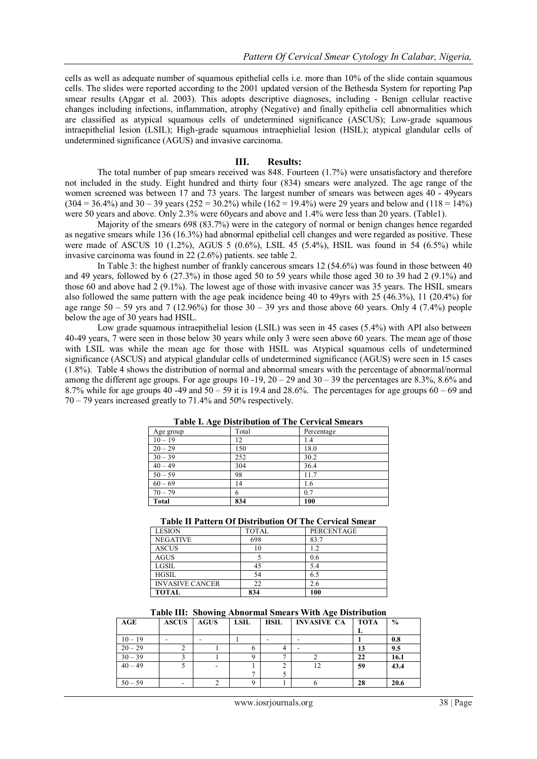cells as well as adequate number of squamous epithelial cells i.e. more than 10% of the slide contain squamous cells. The slides were reported according to the 2001 updated version of the Bethesda System for reporting Pap smear results (Apgar et al. 2003). This adopts descriptive diagnoses, including - Benign cellular reactive changes including infections, inflammation, atrophy (Negative) and finally epithelia cell abnormalities which are classified as atypical squamous cells of undetermined significance (ASCUS); Low-grade squamous intraepithelial lesion (LSIL); High-grade squamous intraephielial lesion (HSIL); atypical glandular cells of undetermined significance (AGUS) and invasive carcinoma.

#### **III. Results:**

The total number of pap smears received was 848. Fourteen (1.7%) were unsatisfactory and therefore not included in the study. Eight hundred and thirty four (834) smears were analyzed. The age range of the women screened was between 17 and 73 years. The largest number of smears was between ages 40 - 49years  $(304 = 36.4\%)$  and  $30 - 39$  years  $(252 = 30.2\%)$  while  $(162 = 19.4\%)$  were 29 years and below and  $(118 = 14\%)$ were 50 years and above. Only 2.3% were 60years and above and 1.4% were less than 20 years. (Table1).

Majority of the smears 698 (83.7%) were in the category of normal or benign changes hence regarded as negative smears while 136 (16.3%) had abnormal epithelial cell changes and were regarded as positive. These were made of ASCUS 10  $(1.2\%)$ , AGUS 5  $(0.6\%)$ , LSIL 45  $(5.4\%)$ , HSIL was found in 54  $(6.5\%)$  while invasive carcinoma was found in 22 (2.6%) patients. see table 2.

In Table 3: the highest number of frankly cancerous smears 12 (54.6%) was found in those between 40 and 49 years, followed by 6 (27.3%) in those aged 50 to 59 years while those aged 30 to 39 had 2 (9.1%) and those 60 and above had 2 (9.1%). The lowest age of those with invasive cancer was 35 years. The HSIL smears also followed the same pattern with the age peak incidence being 40 to 49yrs with 25 (46.3%), 11 (20.4%) for age range  $50 - 59$  yrs and 7 (12.96%) for those  $30 - 39$  yrs and those above 60 years. Only 4 (7.4%) people below the age of 30 years had HSIL.

Low grade squamous intraepithelial lesion (LSIL) was seen in 45 cases (5.4%) with API also between 40-49 years, 7 were seen in those below 30 years while only 3 were seen above 60 years. The mean age of those with LSIL was while the mean age for those with HSIL was Atypical squamous cells of undetermined significance (ASCUS) and atypical glandular cells of undetermined significance (AGUS) were seen in 15 cases (1.8%). Table 4 shows the distribution of normal and abnormal smears with the percentage of abnormal/normal among the different age groups. For age groups 10 -19,  $20 - 29$  and  $30 - 39$  the percentages are 8.3%, 8.6% and 8.7% while for age groups 40 -49 and  $50 - 59$  it is 19.4 and 28.6%. The percentages for age groups  $60 - 69$  and 70 – 79 years increased greatly to 71.4% and 50% respectively.

| $1.001$ $1.15$ $1.0011$ $0.0101$ $0.111$ $0.011$ $0.011$ $0.011$ |       |            |  |  |  |
|------------------------------------------------------------------|-------|------------|--|--|--|
| Age group                                                        | Total | Percentage |  |  |  |
| $10 - 19$                                                        | 12    | 1.4        |  |  |  |
| $20 - 29$                                                        | 150   | 18.0       |  |  |  |
| $30 - 39$                                                        | 252   | 30.2       |  |  |  |
| $40 - 49$                                                        | 304   | 36.4       |  |  |  |
| $50 - 59$                                                        | 98    | 11.7       |  |  |  |
| $60 - 69$                                                        | 14    | 1.6        |  |  |  |
| $70 - 79$                                                        | 6     | 0.7        |  |  |  |
| Total                                                            | 834   | 100        |  |  |  |
|                                                                  |       |            |  |  |  |

#### **Table I. Age Distribution of The Cervical Smears**

#### **Table II Pattern Of Distribution Of The Cervical Smear**

| <b>LESION</b>          | <b>TOTAL</b> | <b>PERCENTAGE</b> |
|------------------------|--------------|-------------------|
| <b>NEGATIVE</b>        | 698          | 83.7              |
| <b>ASCUS</b>           | 10           | 1.2               |
| <b>AGUS</b>            |              | 0.6               |
| LGSIL                  | 45           | 5.4               |
| <b>HGSIL</b>           | 54           | 6.5               |
| <b>INVASIVE CANCER</b> | 22           | 2.6               |
| <b>TOTAL</b>           | 834          | 100               |

| Table III: Showing Abnormal Smears With Age Distribution |  |  |
|----------------------------------------------------------|--|--|
|                                                          |  |  |

| AGE       | <b>ASCUS</b> | <b>AGUS</b> | <b>LSIL</b> | <b>HSIL</b> | <b>INVASIVE CA</b> | <b>TOTA</b> | $\frac{0}{0}$ |
|-----------|--------------|-------------|-------------|-------------|--------------------|-------------|---------------|
|           |              |             |             |             |                    |             |               |
| $10 - 19$ |              |             |             |             |                    |             | 0.8           |
| $20 - 29$ |              |             |             |             |                    | 13          | 9.5           |
| $30 - 39$ |              |             |             |             |                    | 22          | 16.1          |
| $40 - 49$ |              |             |             |             |                    | 59          | 43.4          |
|           |              |             |             |             |                    |             |               |
| $50 - 59$ |              |             |             |             |                    | 28          | 20.6          |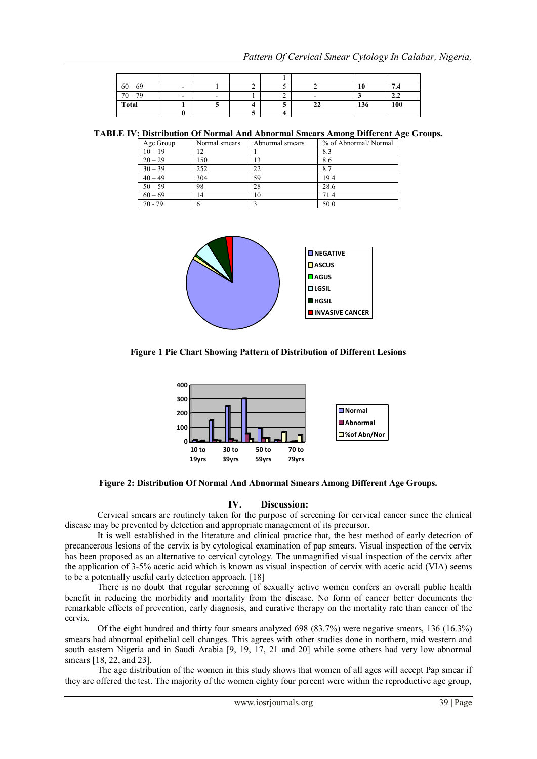| $60 - 69$ | $\sim$ |                          | ∸ |   |    | 10  | 7.4 |
|-----------|--------|--------------------------|---|---|----|-----|-----|
| $70 - 79$ | $\sim$ | $\overline{\phantom{0}}$ |   | ∼ | -  |     | 2.2 |
| Total     |        |                          |   |   | 22 | 136 | 100 |
|           |        |                          |   |   |    |     |     |

**TABLE IV: Distribution Of Normal And Abnormal Smears Among Different Age Groups.**

| Age Group | Normal smears | Abnormal smears | % of Abnormal/Normal |
|-----------|---------------|-----------------|----------------------|
| $10 - 19$ | 12            |                 | 8.3                  |
| $20 - 29$ | 150           |                 | 8.6                  |
| $30 - 39$ | 252           | 22              | 8.7                  |
| $40 - 49$ | 304           | 59              | 19.4                 |
| $50 - 59$ | 98            | 28              | 28.6                 |
| $60 - 69$ | 14            | 10              | 71.4                 |
| $70 - 79$ |               |                 | 50.0                 |



**Figure 1 Pie Chart Showing Pattern of Distribution of Different Lesions**



**Figure 2: Distribution Of Normal And Abnormal Smears Among Different Age Groups.**

## **IV. Discussion:**

Cervical smears are routinely taken for the purpose of screening for cervical cancer since the clinical disease may be prevented by detection and appropriate management of its precursor.

It is well established in the literature and clinical practice that, the best method of early detection of precancerous lesions of the cervix is by cytological examination of pap smears. Visual inspection of the cervix has been proposed as an alternative to cervical cytology. The unmagnified visual inspection of the cervix after the application of 3-5% acetic acid which is known as visual inspection of cervix with acetic acid (VIA) seems to be a potentially useful early detection approach. [18]

There is no doubt that regular screening of sexually active women confers an overall public health benefit in reducing the morbidity and mortality from the disease. No form of cancer better documents the remarkable effects of prevention, early diagnosis, and curative therapy on the mortality rate than cancer of the cervix.

Of the eight hundred and thirty four smears analyzed 698 (83.7%) were negative smears, 136 (16.3%) smears had abnormal epithelial cell changes. This agrees with other studies done in northern, mid western and south eastern Nigeria and in Saudi Arabia [9, 19, 17, 21 and 20] while some others had very low abnormal smears [18, 22, and 23].

The age distribution of the women in this study shows that women of all ages will accept Pap smear if they are offered the test. The majority of the women eighty four percent were within the reproductive age group,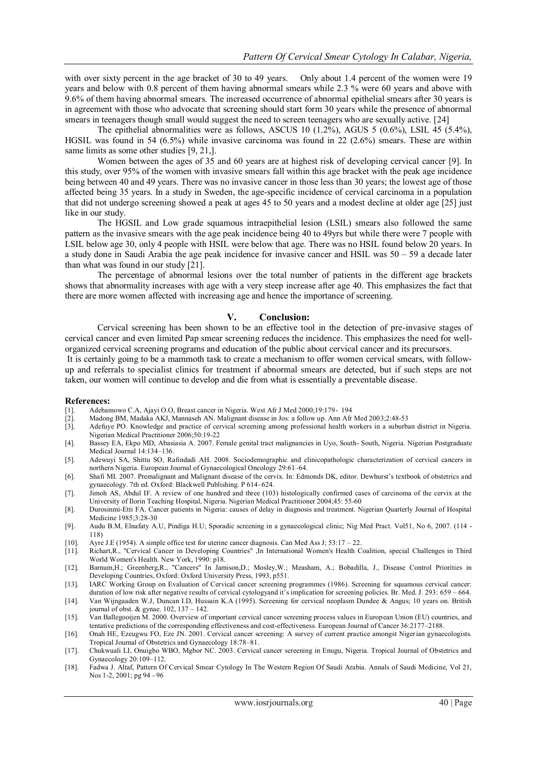with over sixty percent in the age bracket of 30 to 49 years. Only about 1.4 percent of the women were 19 years and below with 0.8 percent of them having abnormal smears while 2.3 % were 60 years and above with 9.6% of them having abnormal smears. The increased occurrence of abnormal epithelial smears after 30 years is in agreement with those who advocate that screening should start form 30 years while the presence of abnormal smears in teenagers though small would suggest the need to screen teenagers who are sexually active. [24]

The epithelial abnormalities were as follows, ASCUS 10 (1.2%), AGUS 5 (0.6%), LSIL 45 (5.4%), HGSIL was found in 54 (6.5%) while invasive carcinoma was found in 22 (2.6%) smears. These are within same limits as some other studies [9, 21,].

Women between the ages of 35 and 60 years are at highest risk of developing cervical cancer [9]. In this study, over 95% of the women with invasive smears fall within this age bracket with the peak age incidence being between 40 and 49 years. There was no invasive cancer in those less than 30 years; the lowest age of those affected being 35 years. In a study in Sweden, the age-specific incidence of cervical carcinoma in a population that did not undergo screening showed a peak at ages 45 to 50 years and a modest decline at older age [25] just like in our study.

The HGSIL and Low grade squamous intraepithelial lesion (LSIL) smears also followed the same pattern as the invasive smears with the age peak incidence being 40 to 49yrs but while there were 7 people with LSIL below age 30, only 4 people with HSIL were below that age. There was no HSIL found below 20 years. In a study done in Saudi Arabia the age peak incidence for invasive cancer and HSIL was 50 – 59 a decade later than what was found in our study [21].

The percentage of abnormal lesions over the total number of patients in the different age brackets shows that abnormality increases with age with a very steep increase after age 40. This emphasizes the fact that there are more women affected with increasing age and hence the importance of screening.

#### **V. Conclusion:**

Cervical screening has been shown to be an effective tool in the detection of pre-invasive stages of cervical cancer and even limited Pap smear screening reduces the incidence. This emphasizes the need for wellorganized cervical screening programs and education of the public about cervical cancer and its precursors.

It is certainly going to be a mammoth task to create a mechanism to offer women cervical smears, with followup and referrals to specialist clinics for treatment if abnormal smears are detected, but if such steps are not taken, our women will continue to develop and die from what is essentially a preventable disease.

# **References:**<br>[1]. Adebar

- [1]. Adebamowo C.A, Ajayi O.O, Breast cancer in Nigeria. West Afr J Med 2000;19:179- 194
- [2]. Madong BM, Madaka AKJ, Mannaseh AN. Malignant disease in Jos: a follow up. Ann Afr Med 2003;2:48-53
- [3]. Adefuye PO. Knowledge and practice of cervical screening among professional health workers in a suburban district in Nigeria. Nigerian Medical Practitioner 2006;50:19-22
- [4]. [Bassey EA, Ekpo MD,](http://hinari-gw.who.int/whalecominformahealthcare.com/whalecom0/action/doSearch?action=runSearch&type=advanced&result=true&prevSearch=%2Bauthorsfield%3A%28Bassey%2C+EA%29) [Abasiasia A. 2](http://hinari-gw.who.int/whalecominformahealthcare.com/whalecom0/action/doSearch?action=runSearch&type=advanced&result=true&prevSearch=%2Bauthorsfield%3A%28Abasiasia%2C+A%29)007. Female genital tract malignancies in Uyo, South- South, Nigeria. Nigerian Postgraduate Medical Journal 14:134–136.
- [5]. [Adewuyi SA, Shittu SO,](http://hinari-gw.who.int/whalecominformahealthcare.com/whalecom0/action/doSearch?action=runSearch&type=advanced&result=true&prevSearch=%2Bauthorsfield%3A%28Adewuyi%2C+SA%29) [Rafindadi AH. 2](http://hinari-gw.who.int/whalecominformahealthcare.com/whalecom0/action/doSearch?action=runSearch&type=advanced&result=true&prevSearch=%2Bauthorsfield%3A%28Rafindadi%2C+AH%29)008. Sociodemographic and clinicopathologic characterization of cervical cancers in northern Nigeria. European Journal of Gynaecological Oncology 29:61–64.
- [6]. Shafi MI. 2007. Premalignant and Malignant disease of the cervix. In: Edmonds DK, editor. Dewhurst's textbook of obstetrics and gynaecology. 7th ed. Oxford: Blackwell Publishing. P 614–624.
- [7]. Jimoh AS, Abdul IF. A review of one hundred and three (103) histologically confirmed cases of carcinoma of the cervix at the University of Ilorin Teaching Hospital, Nigeria. Nigerian Medical Practitioner 2004;45: 55-60
- [8]. Durosinmi-Etti FA. Cancer patients in Nigeria: causes of delay in diagnosis and treatment. Nigerian Quarterly Journal of Hospital Medicine 1985;3:28-30
- [9]. Audu B.M, Elnafaty A.U, Pindiga H.U; Sporadic screening in a gynaecological clinic; Nig Med Pract. Vol51, No 6, 2007. (114 118)
- [10]. Ayre J.E (1954). A simple office test for uterine cancer diagnosis. Can Med Ass J; 53:17 22.
- [11]. Richart,R., "Cervical Cancer in Developing Countries" ,In International Women's Health Coalition, special Challenges in Third World Women's Health. New York, 1990: p18.
- [12]. Barnum,H.; Greenberg,R., "Cancers" In Jamison,D.; Mosley,W.; Measham, A.; Bobadilla, J., Disease Control Priorities in Developing Countries, Oxford: Oxford University Press, 1993, p551.
- [13]. IARC Working Group on Evaluation of Cervical cancer screening programmes (1986). Screening for squamous cervical cancer: duration of low risk after negative results of cervical cytologyand it's implication for screening policies. Br. Med. J. 293: 659 – 664.
- [14]. Van Wijngaaden W.J, Duncan I.D, Hussain K.A (1995). Screening for cervical neoplasm Dundee & Angus; 10 years on. British journal of obst. & gynae. 102, 137 – 142.
- [15]. Van Ballegooijen M. 2000. Overview of important cervical cancer screening process values in European Union (EU) countries, and tentative predictions of the corresponding effectiveness and cost-effectiveness. European Journal of Cancer 36:2177–2188.
- [16]. Onah HE, Ezeugwu FO, Eze JN. 2001. Cervical cancer screening: A survey of current practice amongst Nigerian gynaecologists. Tropical Journal of Obstetrics and Gynaecology 18:78–81.
- [17]. Chukwuali LI, Onuigbo WBO, Mgbor NC. 2003. Cervical cancer screening in Enugu, Nigeria. Tropical Journal of Obstetrics and Gynaecology 20:109–112.
- [18]. Fadwa J. Altaf, Pattern Of Cervical Smear Cytology In The Western Region Of Saudi Arabia. Annals of Saudi Medicine, Vol 21, Nos 1-2, 2001; pg 94 - 96